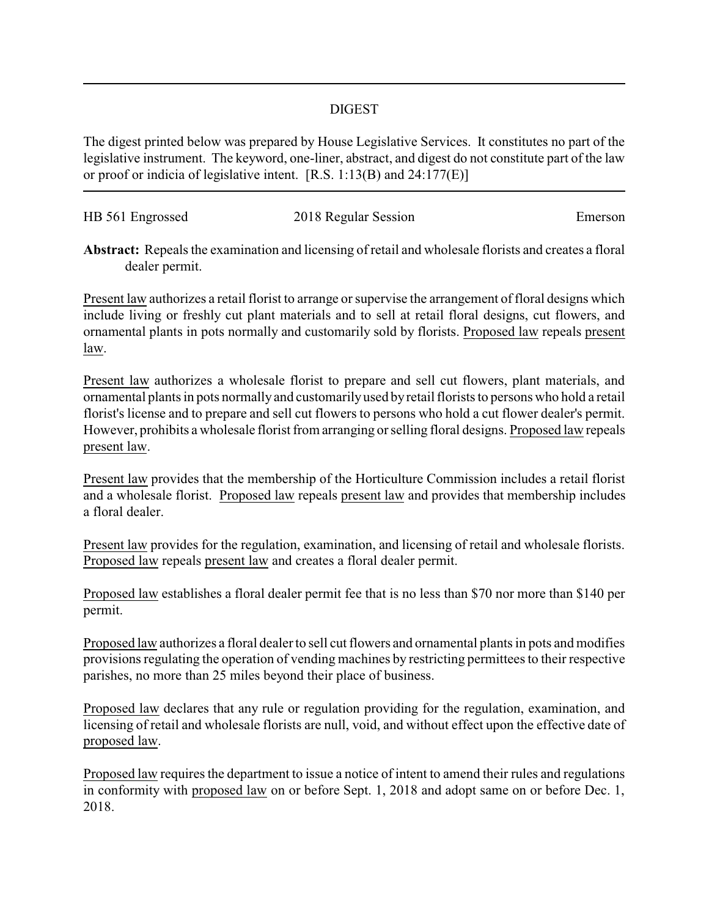## DIGEST

The digest printed below was prepared by House Legislative Services. It constitutes no part of the legislative instrument. The keyword, one-liner, abstract, and digest do not constitute part of the law or proof or indicia of legislative intent. [R.S. 1:13(B) and 24:177(E)]

| HB 561 Engrossed | 2018 Regular Session | Emerson |
|------------------|----------------------|---------|
|                  |                      |         |

**Abstract:** Repeals the examination and licensing of retail and wholesale florists and creates a floral dealer permit.

Present law authorizes a retail florist to arrange or supervise the arrangement of floral designs which include living or freshly cut plant materials and to sell at retail floral designs, cut flowers, and ornamental plants in pots normally and customarily sold by florists. Proposed law repeals present law.

Present law authorizes a wholesale florist to prepare and sell cut flowers, plant materials, and ornamental plants in pots normally and customarilyused byretail florists to persons who hold a retail florist's license and to prepare and sell cut flowers to persons who hold a cut flower dealer's permit. However, prohibits a wholesale florist from arranging or selling floral designs. Proposed law repeals present law.

Present law provides that the membership of the Horticulture Commission includes a retail florist and a wholesale florist. Proposed law repeals present law and provides that membership includes a floral dealer.

Present law provides for the regulation, examination, and licensing of retail and wholesale florists. Proposed law repeals present law and creates a floral dealer permit.

Proposed law establishes a floral dealer permit fee that is no less than \$70 nor more than \$140 per permit.

Proposed law authorizes a floral dealer to sell cut flowers and ornamental plants in pots and modifies provisions regulating the operation of vending machines by restricting permittees to their respective parishes, no more than 25 miles beyond their place of business.

Proposed law declares that any rule or regulation providing for the regulation, examination, and licensing of retail and wholesale florists are null, void, and without effect upon the effective date of proposed law.

Proposed law requires the department to issue a notice of intent to amend their rules and regulations in conformity with proposed law on or before Sept. 1, 2018 and adopt same on or before Dec. 1, 2018.